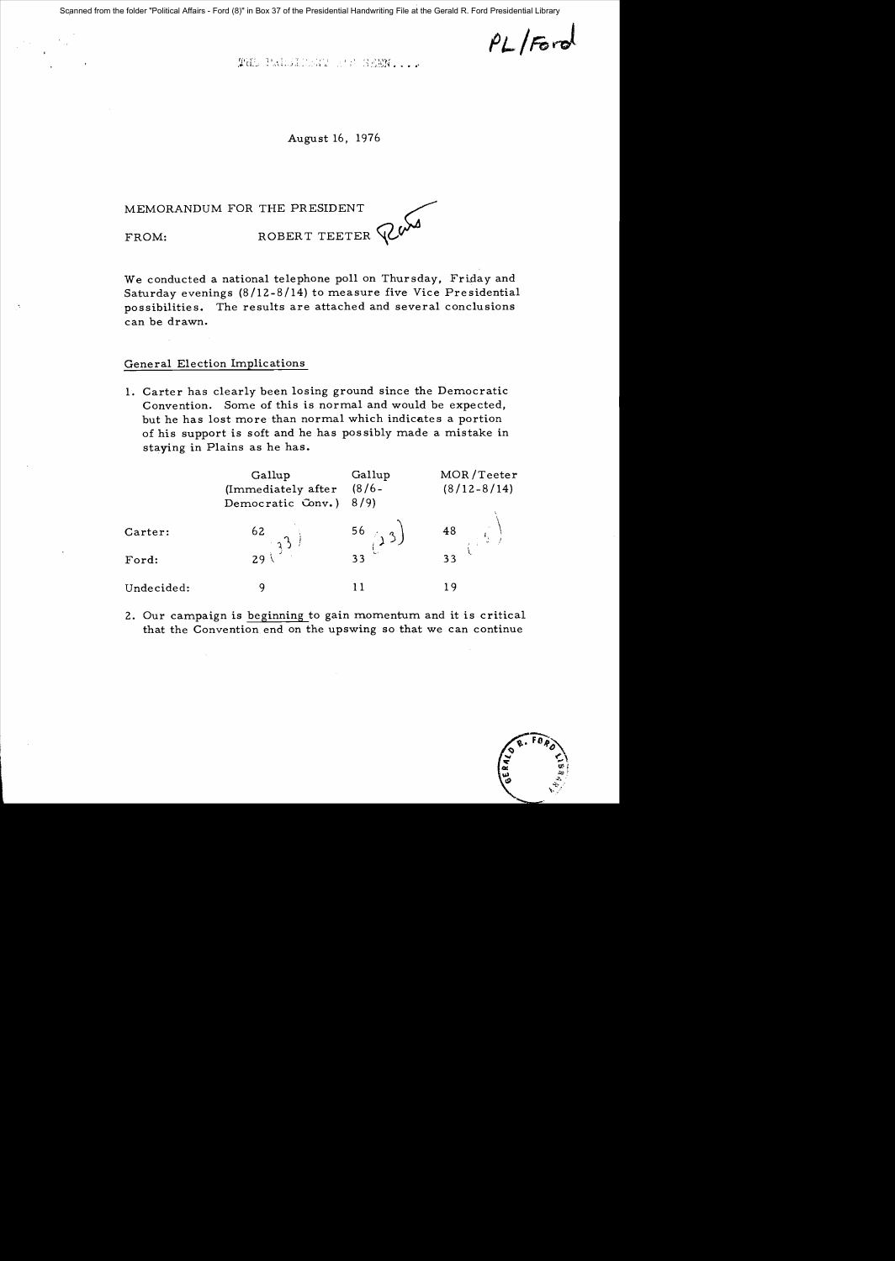Scanned from the folder "Political Affairs - Ford (8)" in Box 37 of the Presidential Handwriting File at the Gerald R. Ford Presidential Library

 $PL$  /Ford

THE PRIESINGAT SENSENNISS.

August 16, 1976

MEMORANDUM FOR THE PRESIDENT FROM: ROBERT TEETER PO

We conducted a national telephone poll on Thursday, Friday and Saturday evenings (8/12-8/14) to measure five Vice Presidential possibilities. The results are attached and several conclusions can be drawn.

### General Election Implications

1. Carter has clearly been losing ground since the Democratic Convention. Some of this is normal and would be expected, but he has lost more than normal which indicates a portion of his support is soft and he has pos sibly made a mistake in staying in Plains as he has.

|            | Gallup<br>(Immediately after<br>Democratic Conv.) | Gallup<br>$(8/6 -$<br>8/9                | MOR/Teeter<br>$(8/12 - 8/14)$ |
|------------|---------------------------------------------------|------------------------------------------|-------------------------------|
| Carter:    | $rac{62}{3^{3}}$                                  | $\begin{pmatrix} 56 \\ 13 \end{pmatrix}$ | 48                            |
| Ford:      |                                                   | 33                                       | 33                            |
| Undecided: |                                                   |                                          | 19                            |

2. Our campaign is beginning to gain momentum and it is critical that the Convention end on the upswing so that we can continue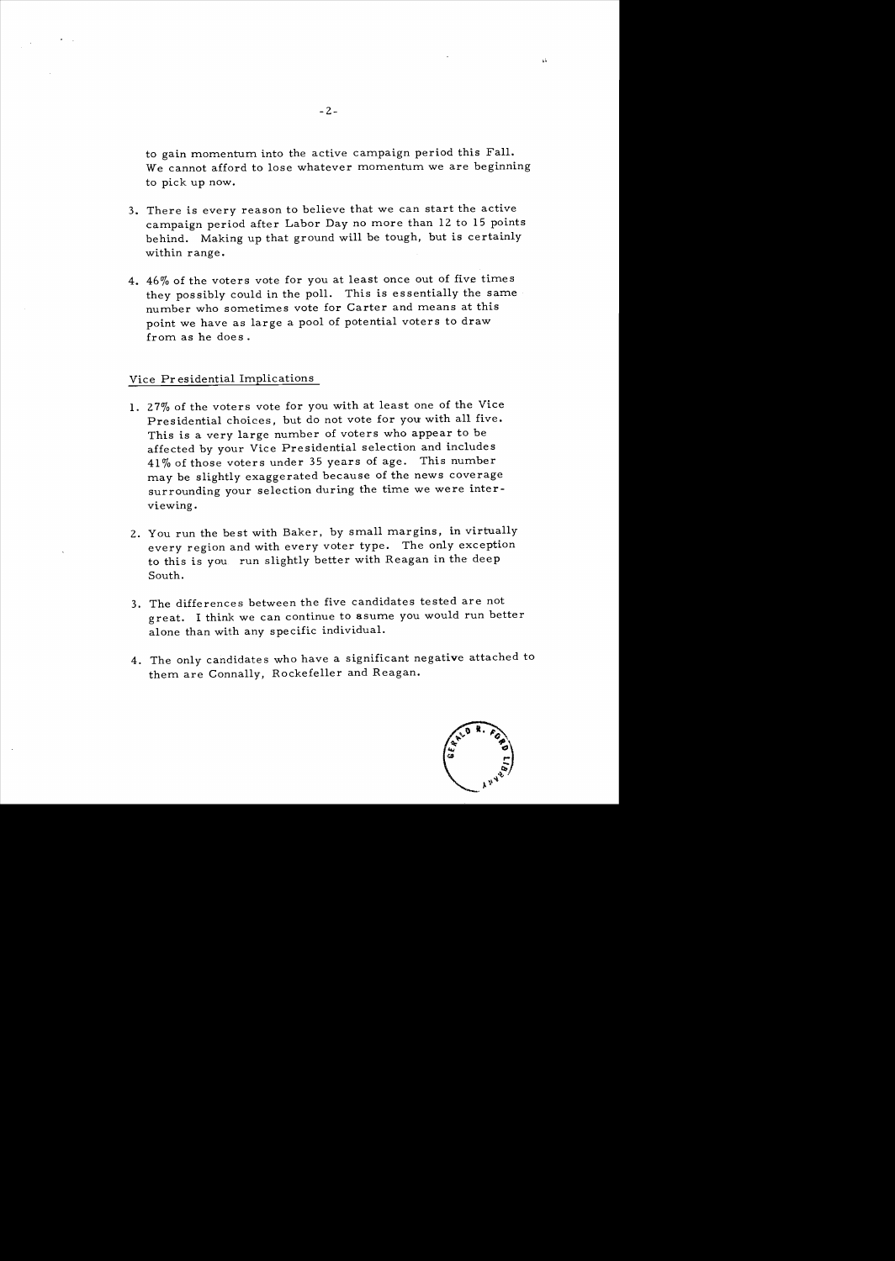to gain momentum into the active campaign period this Fall. We cannot afford to lose whatever momentum we are beginning to pick up now.

- 3. There is every reason to believe that we can start the active campaign period after Labor Day no more than 12 to 15 points behind. Making up that ground will be tough, but is certainly within range.
- 4. 46% of the voters vote for you at least once out of five times they possibly could in the poll. This is essentially the same number who sometimes vote for Carter and means at this point we have as large a pool of potential voters to draw from as he does.

#### Vice Pr esidential Implications

- 1. 27% of the voters vote for you with at least one of the Vice Presidential choices, but do not vote for you with all five. This is a very large number of voters who appear to be affected by your Vice Presidential selection and includes 41 % of those voters under 35 years of age. This number may be slightly exaggerated because of the news coverage surrounding your selection during the time we were interviewing.
- 2. You run the best with Baker, by small margins, in virtually every region and with every voter type. The only exception to this is you run slightly better with Reagan in the deep South.
- 3. The differences between the five candidates tested are not great. I think we can continue to asume you would run better alone than with any specific individual.
- 4. The only candidates who have a significant negative attached to them are Connally, Rockefeller and Reagan.



 $\Delta$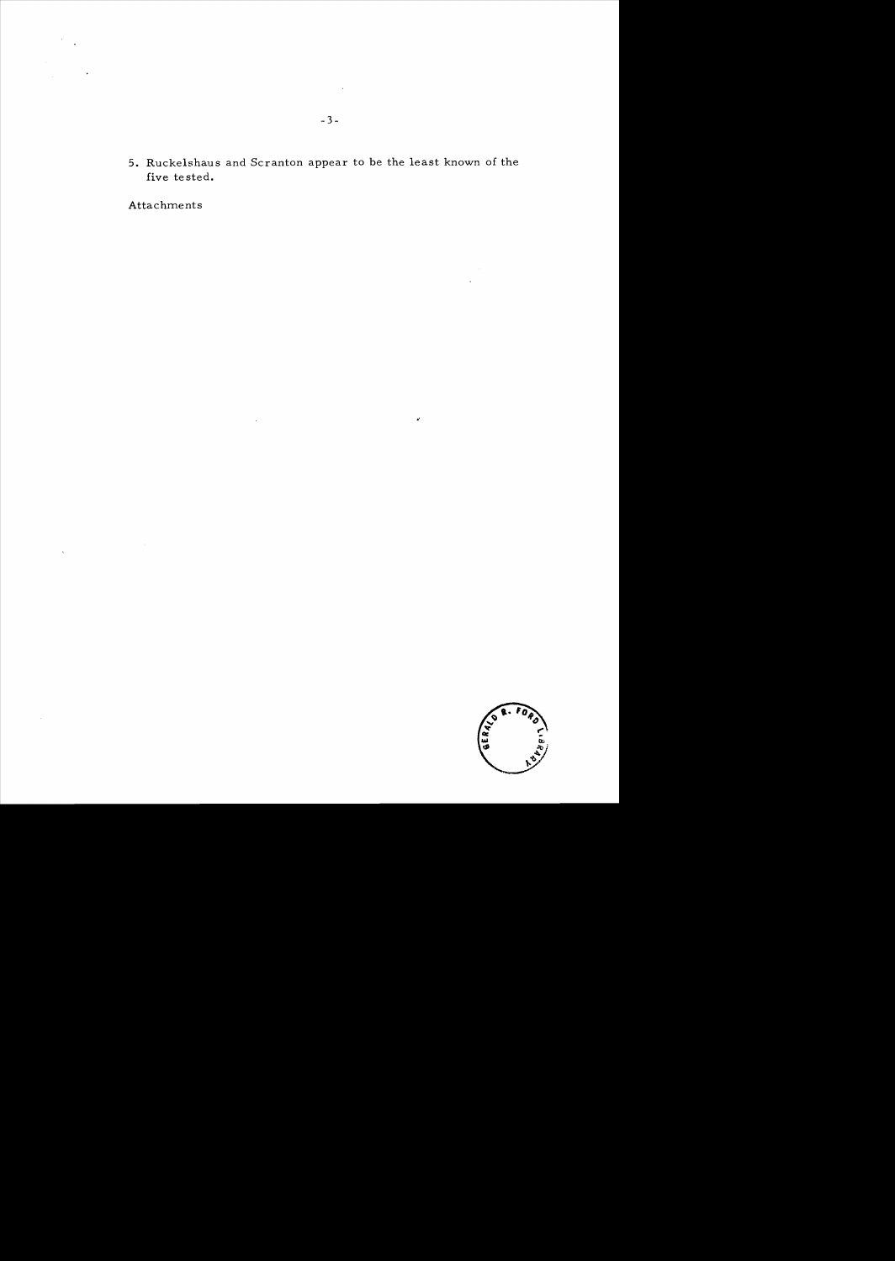**5.** Ruckelshaus and Scranton appear to be the least known of the five te sted.

 $\bar{z}$ 

"

Attachments

 $\bar{\mathcal{A}}$ 



 $\sim$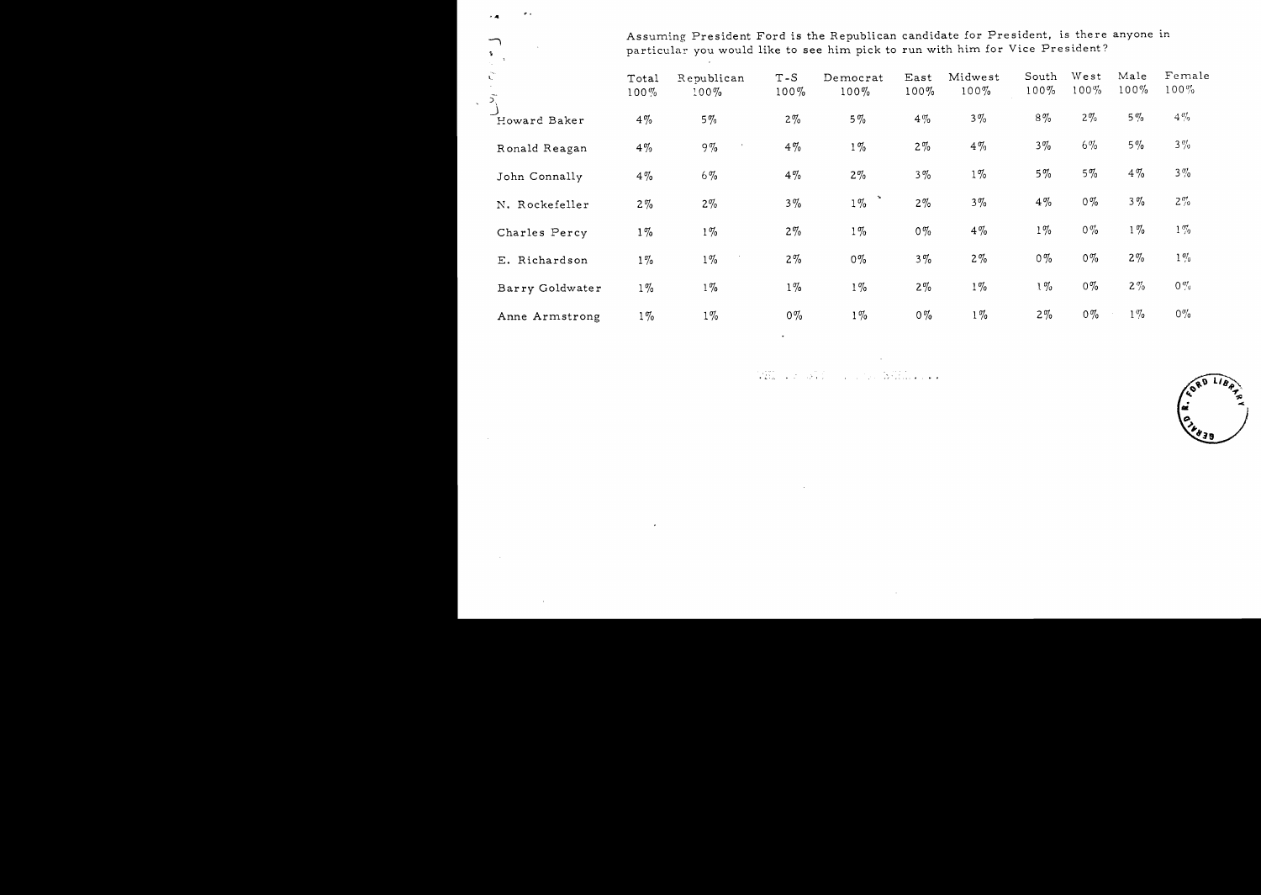Assuming President Ford is the Republican candidate for President, is there anyone in particular you would like to see him pick to run with him for Vice President?

| $\sum_{k=1}^{\infty}$ | Total<br>$100\%$ | Republican<br>$100\%$ | $T-S$<br>$100\%$ | Democrat<br>$100\%$ | East<br>$100\%$ | Midwest<br>$100\%$ | South<br>$100\%$ | West<br>$100\%$ | Male<br>$100\%$ | Female<br>$100\%$ |
|-----------------------|------------------|-----------------------|------------------|---------------------|-----------------|--------------------|------------------|-----------------|-----------------|-------------------|
| Howard Baker          | $4\%$            | $5\%$                 | $2\%$            | $5\%$               | $4\%$           | $3\%$              | $8\%$            | $2\%$           | $5\%$           | $4\%$             |
| Ronald Reagan         | $4\%$            | $9\%$                 | $4\%$            | $1\%$               | $2\%$           | $4\%$              | $3\%$            | $6\%$           | $5\%$           | $3\%$             |
| John Connally         | $4\%$            | $6\%$                 | $4\%$            | $2\%$               | $3\%$           | $1\%$              | $5\%$            | $5\%$           | $4\%$           | $3\%$             |
| N. Rockefeller        | $2\%$            | $2\%$                 | $3\%$            | $1\%$               | $2\%$           | $3\%$              | $4\%$            | $0\%$           | $3\%$           | $2\%$             |
| Charles Percy         | $1\%$            | $1\%$                 | $2\%$            | $1\%$               | $0\%$           | $4\%$              | $1\%$            | $0\%$           | $1\%$           | $1\%$             |
| E. Richardson         | $1\%$            | $1\%$                 | $2\%$            | $0\%$               | $3\%$           | $2\%$              | $0\%$            | $0\%$           | $2\%$           | $1\%$             |
| Barry Goldwater       | $1\%$            | $1\%$                 | $1\%$            | $1\%$               | $2\%$           | $1\%$              | $1\%$            | $0\%$           | $2\%$           | $0\%$             |
| Anne Armstrong        | $1\%$            | $1\%$                 | $0\%$            | $1\%$               | $0\%$           | $1\%$              | $2\%$            | $0\%$           | $1\%$           | $0\%$             |

 $.4$ 

 $\mathbf{r}$  .

 $\bigcap$ 

 $\bar{\mathbf{r}}$ 

.. ' .

**CORD II**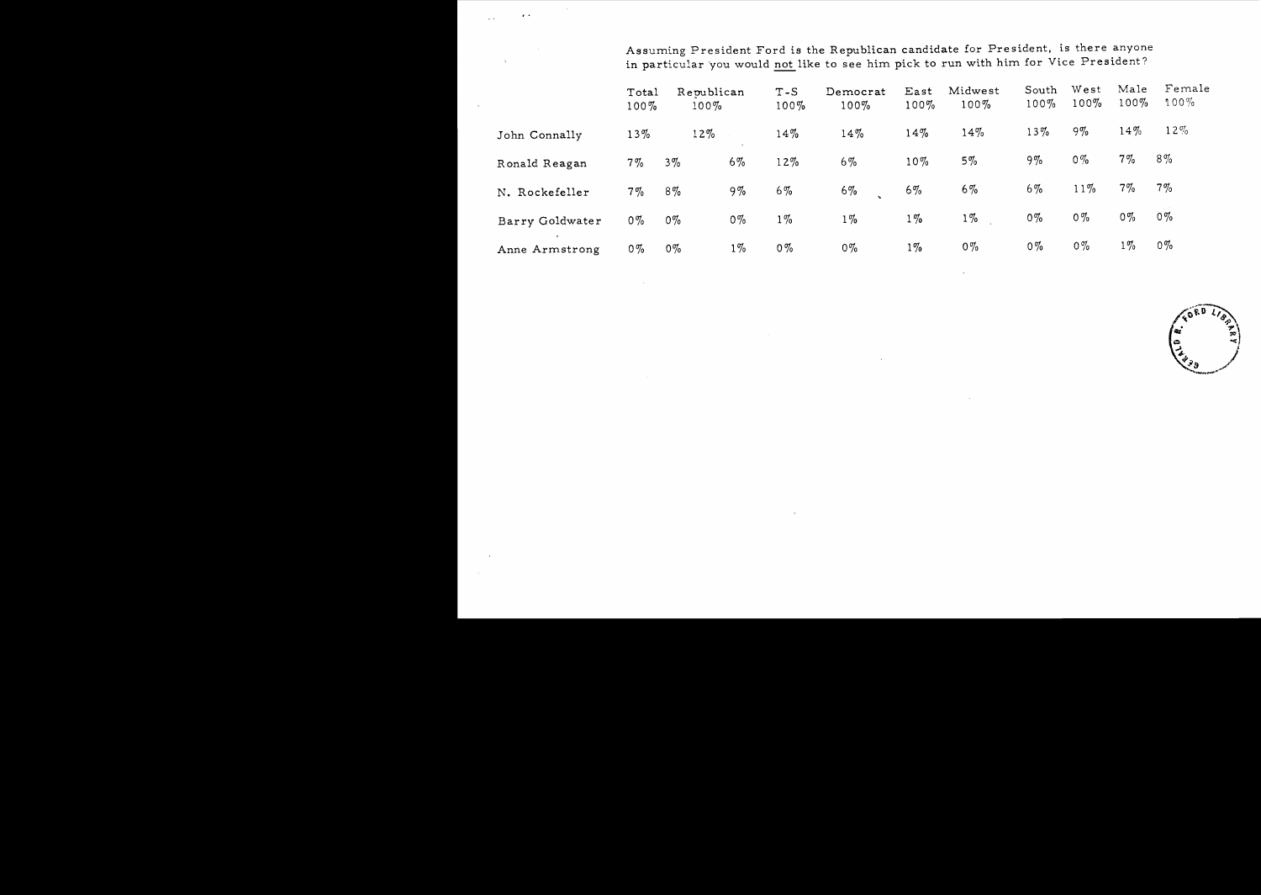Assuming President Ford is the Republican candidate for President, is there anyone in particular you would not like to see him pick to run with him for Vice President?

|                             | Total<br>$100\%$ | Republican<br>$100\%$ |       | $T-S$<br>$100\%$ | Democrat<br>$100\%$ | East<br>$100\%$ | Midwest<br>$100\%$ | South<br>$100\%$ | West<br>$100\%$ | Male<br>$100\%$ | Female<br>$100\%$ |
|-----------------------------|------------------|-----------------------|-------|------------------|---------------------|-----------------|--------------------|------------------|-----------------|-----------------|-------------------|
| John Connally               | $13\%$           | 12%                   |       | 14%              | $14\%$              | 14%             | 14%                | 13%              | $9\%$           | 14%             | $12\%$            |
| Ronald Reagan               | $7\%$            | $3\%$                 | $6\%$ | 12%              | $6\%$               | $10\%$          | $5\%$              | 9%               | $0\%$           | $7\%$           | $8\%$             |
| N. Rockefeller              | $7\%$            | $8\%$                 | $9\%$ | $6\%$            | $6\%$               | $6\%$           | $6\%$              | $6\%$            | $11\%$          | $7\%$           | $7\%$             |
| Barry Goldwater             | $0\%$            | $0\%$                 | $0\%$ | $1\%$            | $1\%$               | $1\%$           | $1\%$              | $0\%$            | $0\%$           | $0\%$           | $0\%$             |
| $\bullet$<br>Anne Armstrong | $0\%$            | $0\%$                 | $1\%$ | $0\%$            | $0\%$               | $1\%$           | $0\%$              | $0\%$            | $0\%$           | $1\%$           | $0\%$             |

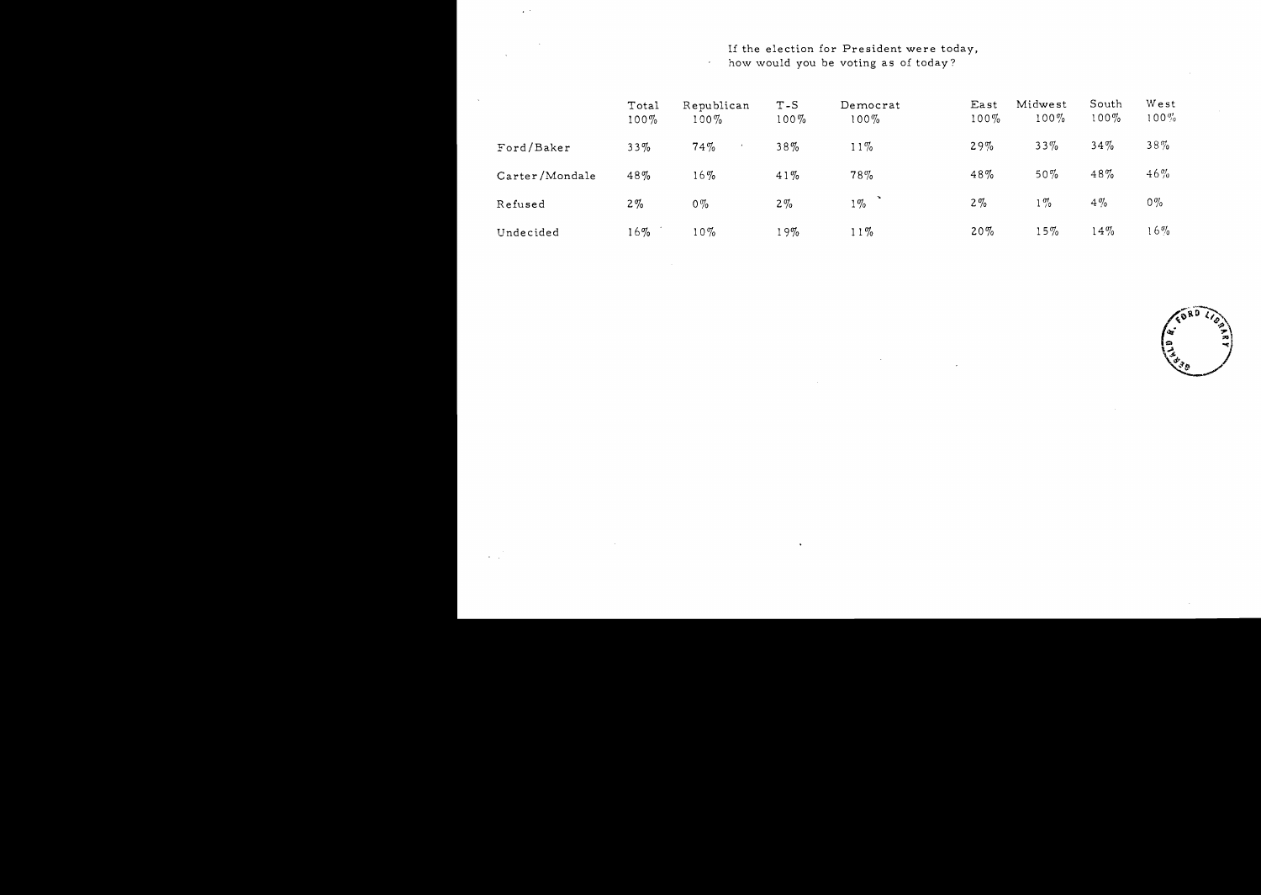# If the election for President were today,

how would you be voting as of today?

 $\mathcal{L}_{\mathrm{eff}}$ 

|                | Total<br>$100\%$ | Republican<br>$100\%$ | $T-S$<br>$100\%$ | Democrat<br>$100\%$ | East<br>$100\%$ | Midwest<br>$100\%$ | South<br>$100\%$ | West<br>$100\%$ |
|----------------|------------------|-----------------------|------------------|---------------------|-----------------|--------------------|------------------|-----------------|
| Ford/Baker     | 33%              | 74%                   | 38%              | $11\%$              | 29%             | $33\%$             | $34\%$           | $38\%$          |
| Carter/Mondale | 48%              | 16%                   | 41%              | 78%                 | 48%             | $50\%$             | 48%              | $46\%$          |
| Refused        | $2\%$            | $0\%$                 | $2\%$            | $1\%$               | $2\%$           | $1\%$              | $4\%$            | $0\%$           |
| Undecided      | $16\%$           | $10\%$                | 19%              | $11\%$              | 20%             | $15\%$             | $14\%$           | $16\%$          |

 $\Delta$ 

 $\sim$ 

 $6R^0$ **Qz. tJ.;;**\. t **ব** *স*  $\, \, | \, \cdot \, | \, \cdot \, | \,$ (200 )

 $\sim$   $\sim$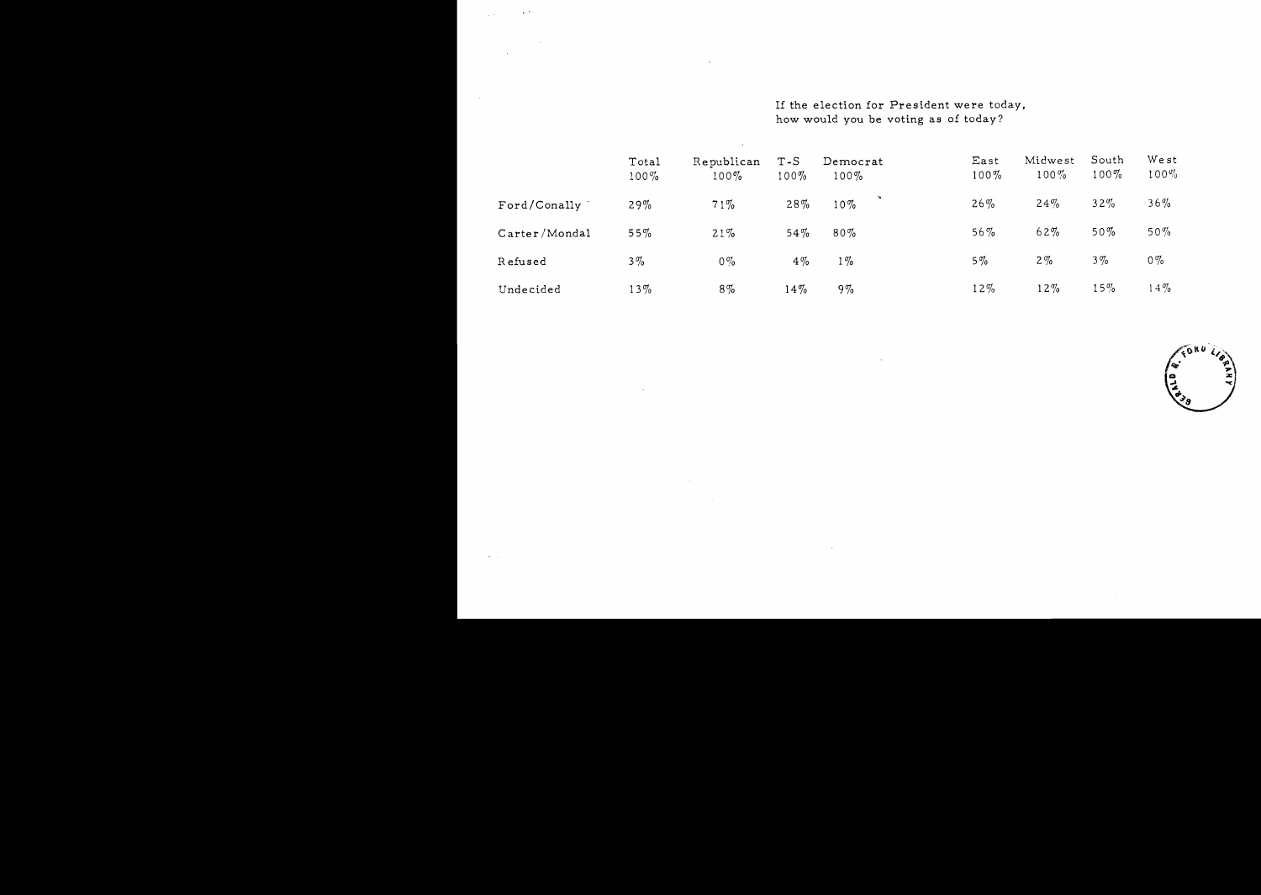If the election for President were today, how would you be Yoting as of today?

|               | Total<br>$100\%$ | Republican<br>$100\%$ | $T-S$<br>$100\%$ | Democrat<br>$100\%$ | East<br>$100\%$ | Midwest<br>$100\%$ | South<br>$100\%$ | West<br>$100\%$ |
|---------------|------------------|-----------------------|------------------|---------------------|-----------------|--------------------|------------------|-----------------|
| Ford/Conally  | 29%              | 71%                   | 28%              | $10\%$              | $26\%$          | 24%                | $32\%$           | 36%             |
| Carter/Mondal | 55%              | 21%                   | $54\%$           | $80\%$              | $56\%$          | 62%                | $50\%$           | 50%             |
| Refused       | $3\%$            | $0\%$                 | $4\%$            | 1%                  | $5\%$           | $2\%$              | $3\%$            | $0\%$           |
| Undecided     | $13\%$           | $8\%$                 | $14\%$           | $9\%$               | $12\%$          | $12\%$             | $15\%$           | $14\%$          |

 $\sigma_{\rm{max}}$ 

 $\sim$ 

 $\sim$   $\sim$ 

 $\sim$ 

 $\mathbf{x} = \mathbf{y}$ 

GORD ہ<br>چ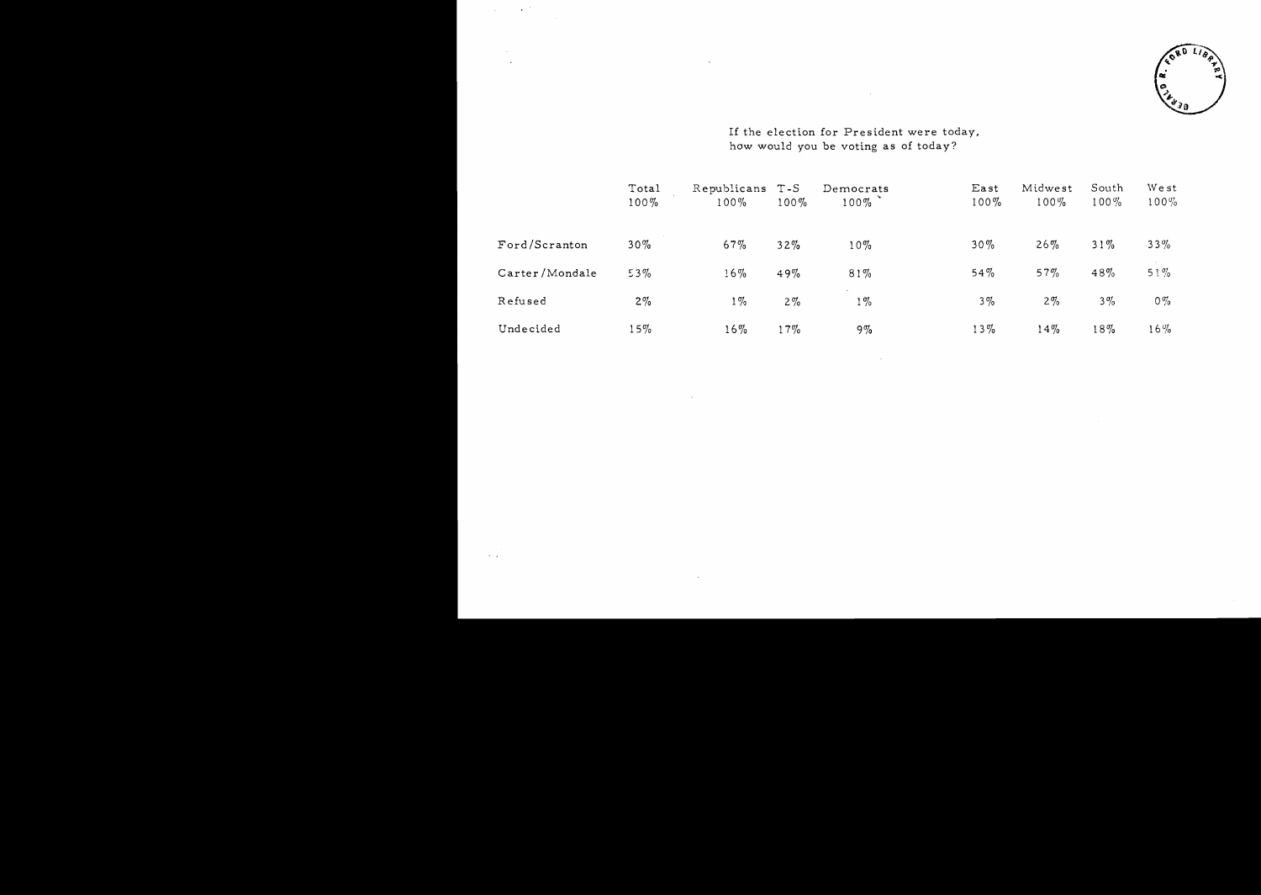

If the election for President were today, how would you be voting as of today?

 $\sim 10^{11}$ 

 $\langle \cdot \rangle$ 

 $\lambda$ 

 $\mathbb{R}^2$ 

 $\ddot{\phantom{a}}$ 

 $\ddot{\phantom{a}}$ 

|                | Total<br>$100\%$ | Republicans<br>$100\%$ | $T-S$<br>$100\%$ | Democrats<br>$100\%$ | East<br>$100\%$ | Midwest<br>$100\%$ | South<br>$100\%$ | West<br>$100\%$ |
|----------------|------------------|------------------------|------------------|----------------------|-----------------|--------------------|------------------|-----------------|
| Ford/Scranton  | $30\%$           | 67%                    | $32\%$           | $10\%$               | $30\%$          | $26\%$             | $31\%$           | $33\%$          |
| Carter/Mondale | $53\%$           | 16%                    | 49%              | $81\%$               | 54%             | 57%                | 48%              | $51\%$          |
| Refused        | $2\%$            | $1\%$                  | $2\%$            | $1\%$                | $3\%$           | $2\%$              | $3\%$            | $0\%$           |
| Undecided      | 15%              | $16\%$                 | 17%              | $9\%$                | $13\%$          | 14%                | 18%              | $16\%$          |

 $\mathcal{L}_{\mathcal{A}}$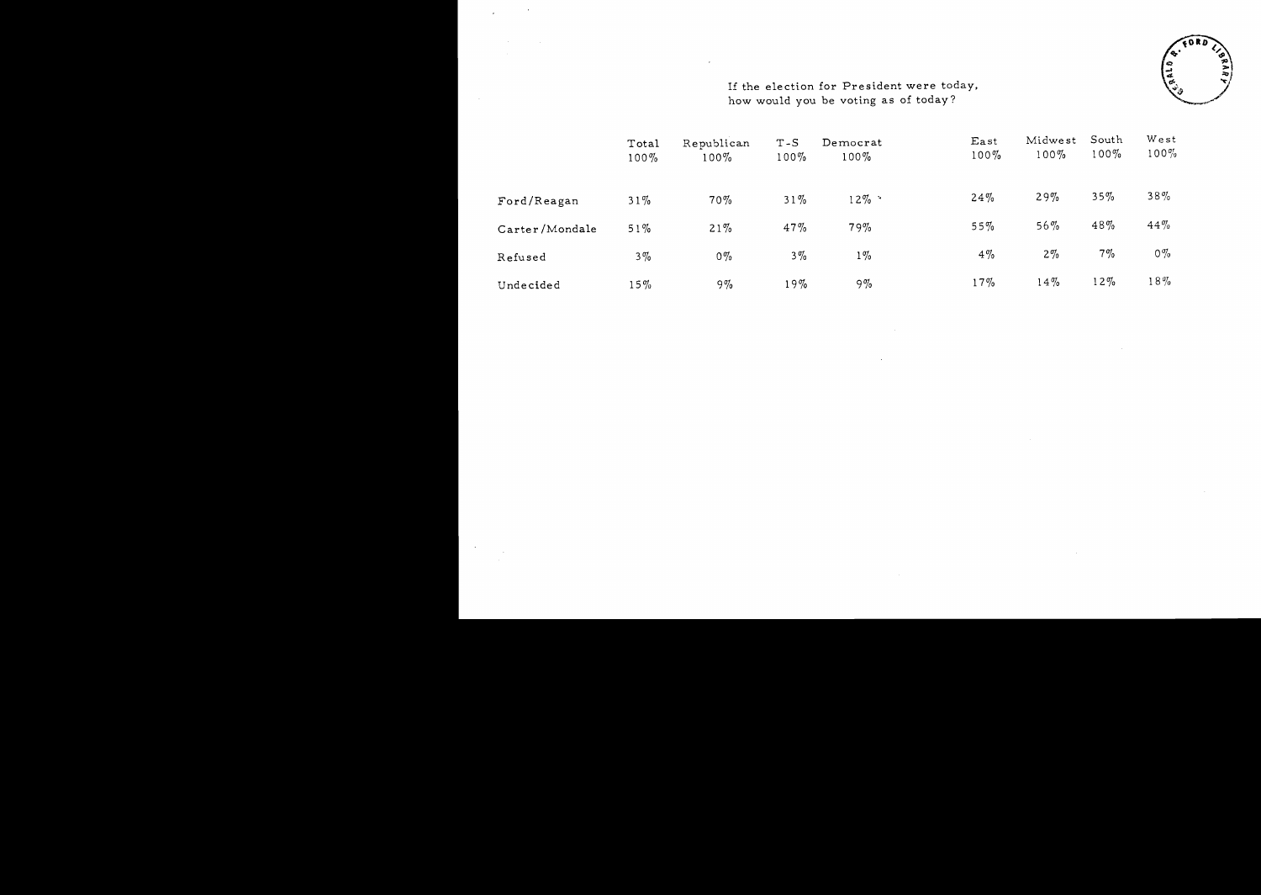

# If the election for President were today, how would you be voting as of today?

|                | Total<br>$100\%$ | Republican<br>$100\%$ | $T-S$<br>$100\%$ | Democrat<br>$100\%$ | East<br>$100\%$ | Midwest<br>$100\%$ | South<br>$100\%$ | West<br>$100\%$ |
|----------------|------------------|-----------------------|------------------|---------------------|-----------------|--------------------|------------------|-----------------|
| Ford/Reagan    | 31%              | 70%                   | $31\%$           | $12\%$ .            | 24%             | 29%                | 35%              | 38%             |
| Carter/Mondale | $51\%$           | 21%                   | 47%              | 79%                 | 55%             | $56\%$             | 48%              | $44\%$          |
| Refused        | $3\%$            | $0\%$                 | $3\%$            | $1\%$               | $4\%$           | $2\%$              | $7\%$            | $0\%$           |
| Undecided      | $15\%$           | $9\%$                 | 19%              | $9\%$               | $17\%$          | 14%                | $12\%$           | $18\%$          |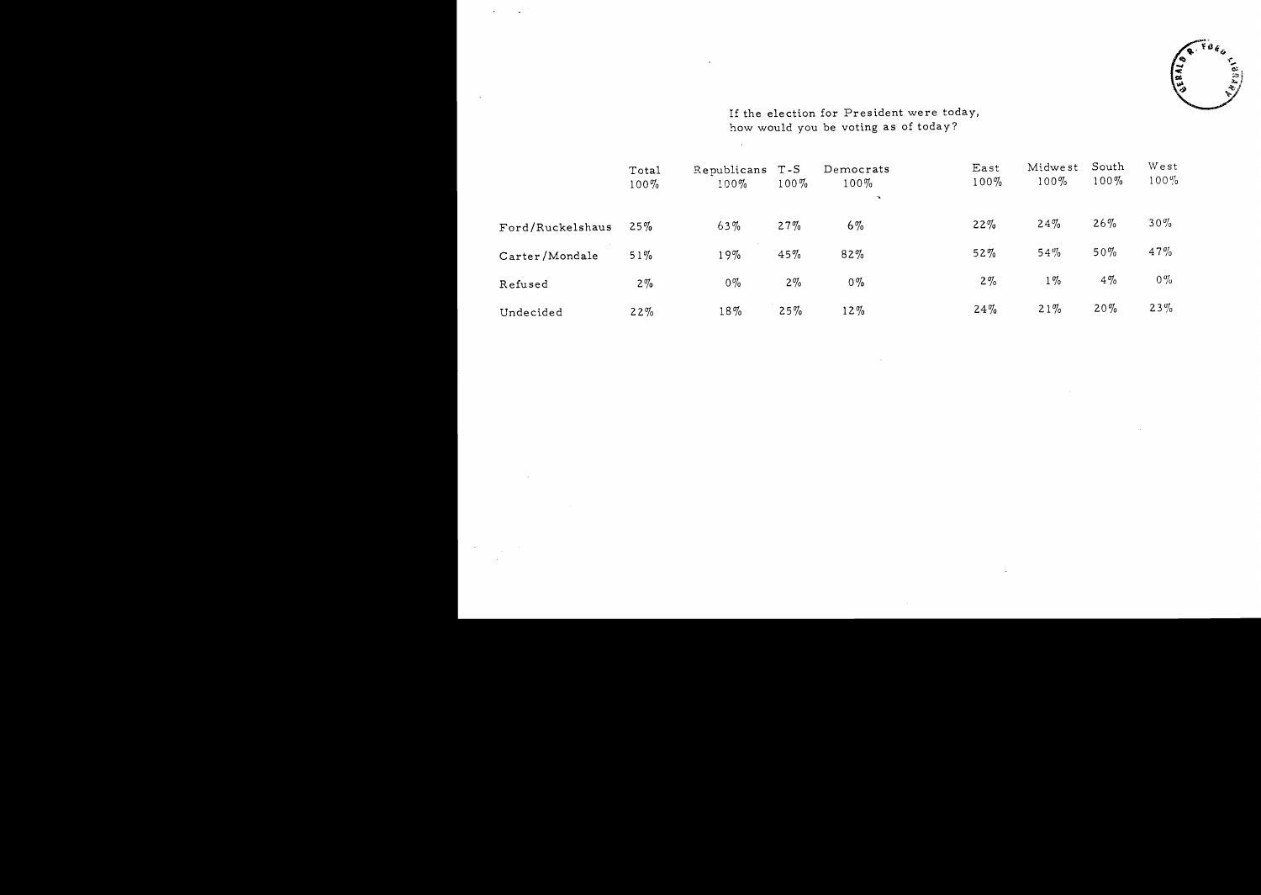

If the election for President were today, how would you be voting as of today?

 $\sim 10^7$ 

 $\overline{a}$ 

 $\mathbb{Z}$ 

|                  | Total<br>$100\%$ | Republicans T-S<br>$100\%$ | $100\%$ | Democrats<br>$100\%$<br>$\sim$ | East<br>$100\%$ | Midwest<br>$100\%$ | South<br>$100\%$ | West<br>$100\%$ |
|------------------|------------------|----------------------------|---------|--------------------------------|-----------------|--------------------|------------------|-----------------|
| Ford/Ruckelshaus | 25%              | 63%                        | 27%     | $6\%$                          | 22%             | 24%                | 26%              | $30\%$          |
| Carter/Mondale   | 51%              | 19%                        | 45%     | 82%                            | 52%             | 54%                | $50\%$           | 47%             |
| Refused          | $2\%$            | $0\%$                      | $2\%$   | $0\%$                          | $2\%$           | $1\%$              | $4\%$            | $0\%$           |
| Undecided        | 22%              | 18%                        | 25%     | $12\%$                         | 24%             | 21%                | 20%              | 23%             |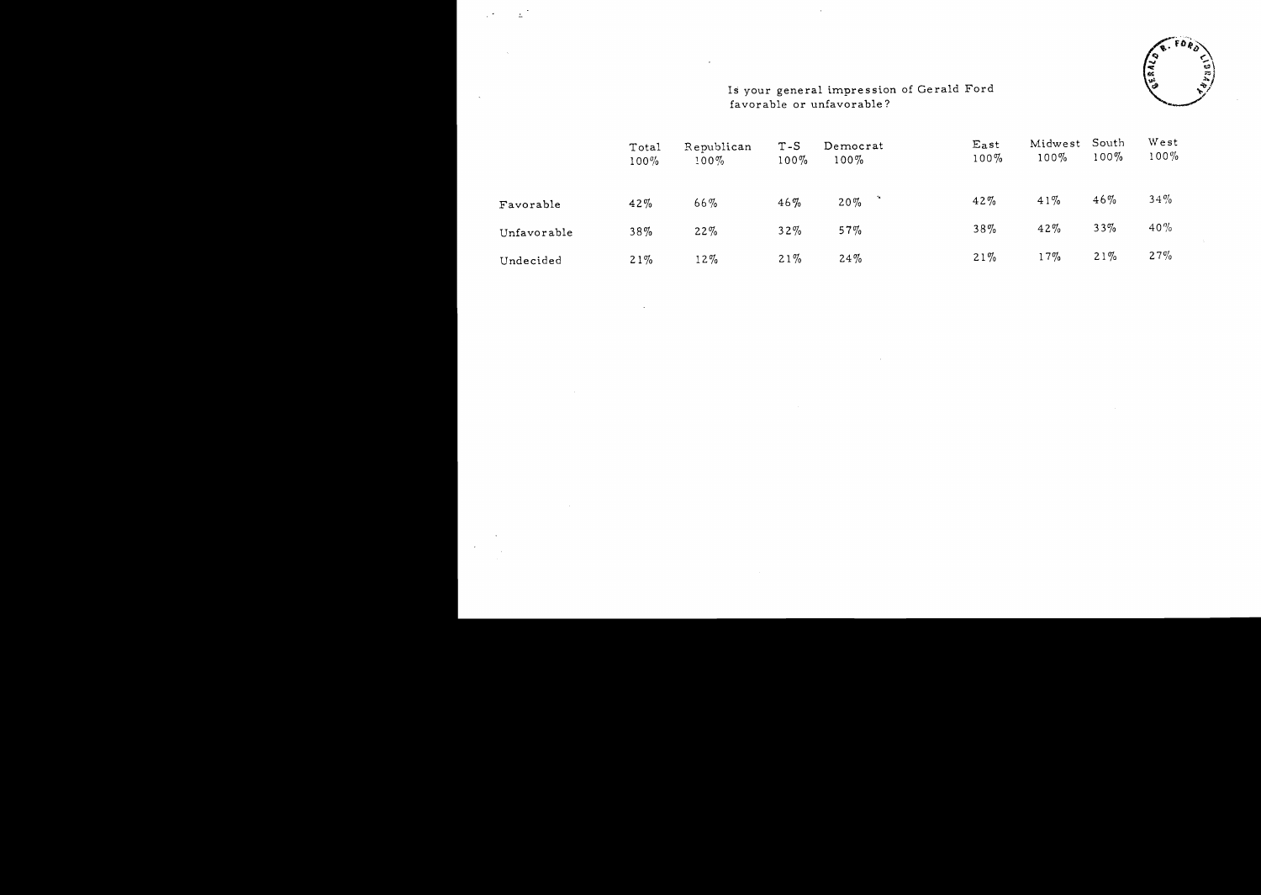

## Is your general impression of Gerald Ford favorable or unfavorable?

 $\overline{\phantom{a}}$ 

:...

|             | Total<br>$100\%$ | Republican<br>$100\%$ | $T-S$<br>$100\%$ | Democrat<br>$100\%$ | East<br>$100\%$ | Midwest<br>$100\%$ | South<br>$100\%$ | West<br>$100\%$ |
|-------------|------------------|-----------------------|------------------|---------------------|-----------------|--------------------|------------------|-----------------|
| Favorable   | 42%              | 66%                   | $46\%$           | $20\%$              | $42\%$          | 41%                | 46%              | $34\%$          |
| Unfavorable | 38%              | 22%                   | $32\%$           | 57%                 | $38\%$          | 42%                | 33%              | $40\%$          |
| Undecided   | 21%              | $12\%$                | $21\%$           | $24\%$              | $21\%$          | $17\%$             | 21%              | 27%             |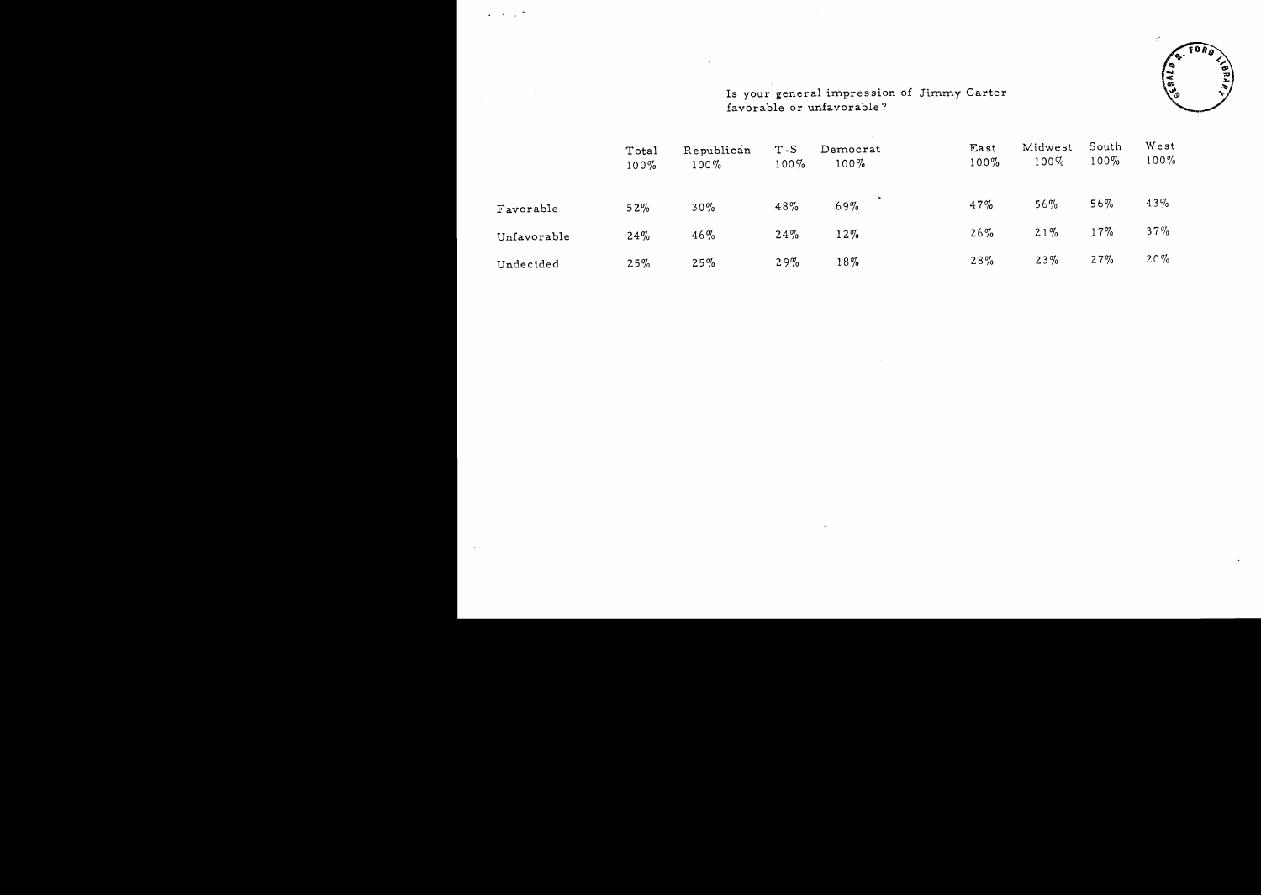$\sim 10^{-1}$  .

 $\sim 10$ 



#### Is your general impression of favorable or unfavorable? Jimmy Carter

|             | Total<br>$100\%$ | Republican<br>$100\%$ | $T-S$<br>$100\%$ | Democrat<br>$100\%$ | East<br>$100\%$ | Midwest<br>$100\%$ | South<br>$100\%$ | West<br>$100\%$ |
|-------------|------------------|-----------------------|------------------|---------------------|-----------------|--------------------|------------------|-----------------|
| Favorable   | 52%              | $30\%$                | 48%              | 69%                 | 47%             | 56%                | 56%              | 43%             |
| Unfavorable | 24%              | 46%                   | 24%              | $12\%$              | $26\%$          | $21\%$             | 17%              | 37%             |
| Undecided   | 25%              | 25%                   | 29%              | $18\%$              | $28\%$          | 23%                | 27%              | 20%             |

 $\sim$ 

 $\overline{\phantom{a}}$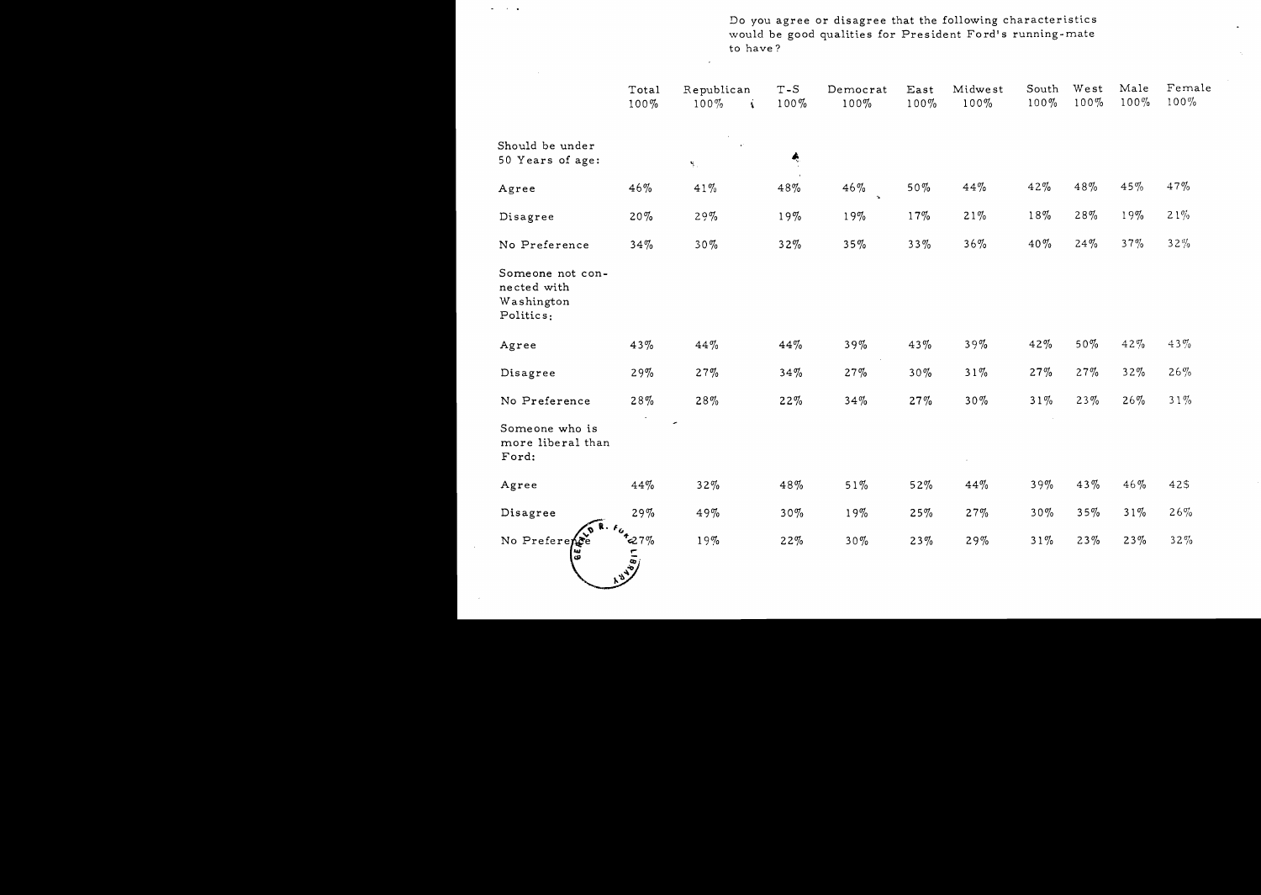Do you agree or disagree that the following characteristics would be good qualities for President Ford's running-mate to have?

 $\hat{\textbf{z}}$ 

|                                                            | Total<br>100%  | Republican<br>$100\%$    | Á. | $T-S$<br>$100\%$ | Democrat<br>100% | East<br>$100\%$ | Midwest<br>$100\%$ | South<br>$100\%$ | West<br>$100\%$ | Male<br>$100\%$ | Female<br>$100\%$ |
|------------------------------------------------------------|----------------|--------------------------|----|------------------|------------------|-----------------|--------------------|------------------|-----------------|-----------------|-------------------|
| Should be under<br>50 Years of age:                        |                | $\mathbf{S}_{\text{in}}$ |    | Ą                |                  |                 |                    |                  |                 |                 |                   |
| Agree                                                      | 46%            | $41\%$                   |    | 48%              | 46%              | $50\%$          | 44%                | 42%              | 48%             | 45%             | 47%               |
| Disagree                                                   | $20\%$         | 29%                      |    | 19%              | 19%              | 17%             | $21\%$             | $18\%$           | 28%             | 19%             | $21\%$            |
| No Preference                                              | 34%            | $30\%$                   |    | $32\%$           | $35\%$           | $33\%$          | $36\%$             | 40%              | 24%             | $37\%$          | $32\%$            |
| Someone not con-<br>nected with<br>Washington<br>Politics: |                |                          |    |                  |                  |                 |                    |                  |                 |                 |                   |
| Agree                                                      | 43%            | 44%                      |    | 44%              | $39\%$           | 43%             | $39\%$             | 42%              | $50\%$          | 42%             | 43%               |
| Disagree                                                   | 29%            | 27%                      |    | 34%              | 27%              | $30\%$          | $31\%$             | 27%              | 27%             | 32%             | $26\%$            |
| No Preference                                              | 28%            | 28%                      |    | 22%              | 34%              | 27%             | $30\%$             | $31\%$           | $23\%$          | 26%             | $31\%$            |
| Someone who is<br>more liberal than<br>Ford:               |                |                          |    |                  |                  |                 |                    |                  |                 |                 |                   |
| Agree                                                      | 44%            | 32%                      |    | 48%              | $51\%$           | $52\%$          | 44%                | 39%              | 43%             | 46%             | 42\$              |
| Disagree                                                   | 29%            | 49%                      |    | $30\%$           | 19%              | 25%             | 27%                | $30\%$           | $35\%$          | $31\%$          | 26%               |
| No Preference                                              | $rac{1}{27\%}$ | 19%                      |    | 22%              | $30\%$           | $23\%$          | 29%                | $31\%$           | $23\%$          | $23\%$          | $32\%$            |

 $\omega_{\rm{max}}$  ,  $\omega_{\rm{max}}$